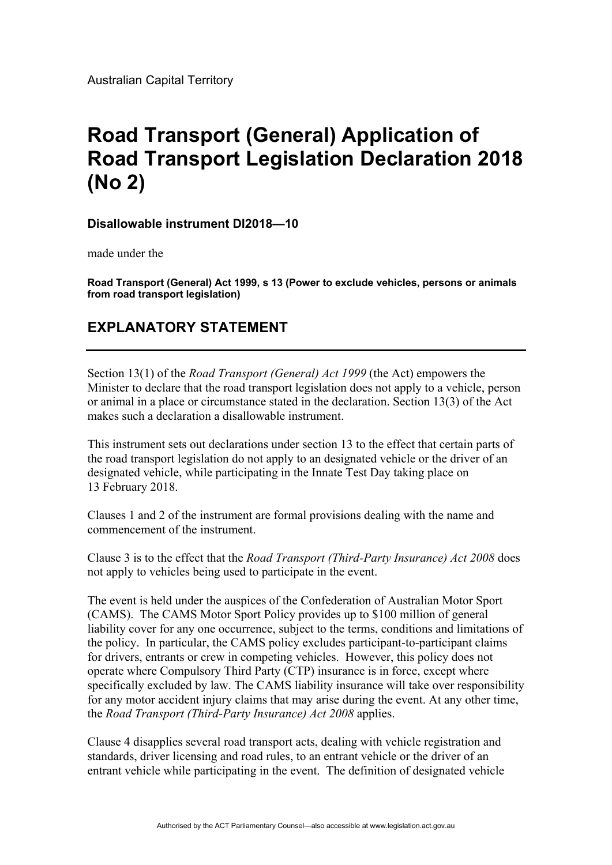Australian Capital Territory

## **Road Transport (General) Application of Road Transport Legislation Declaration 2018 (No 2)**

**Disallowable instrument DI2018—10** 

made under the

**Road Transport (General) Act 1999, s 13 (Power to exclude vehicles, persons or animals from road transport legislation)** 

## **EXPLANATORY STATEMENT**

Section 13(1) of the *Road Transport (General) Act 1999* (the Act) empowers the Minister to declare that the road transport legislation does not apply to a vehicle, person or animal in a place or circumstance stated in the declaration. Section 13(3) of the Act makes such a declaration a disallowable instrument.

This instrument sets out declarations under section 13 to the effect that certain parts of the road transport legislation do not apply to an designated vehicle or the driver of an designated vehicle, while participating in the Innate Test Day taking place on 13 February 2018.

Clauses 1 and 2 of the instrument are formal provisions dealing with the name and commencement of the instrument.

Clause 3 is to the effect that the *Road Transport (Third-Party Insurance) Act 2008* does not apply to vehicles being used to participate in the event.

The event is held under the auspices of the Confederation of Australian Motor Sport (CAMS). The CAMS Motor Sport Policy provides up to \$100 million of general liability cover for any one occurrence, subject to the terms, conditions and limitations of the policy. In particular, the CAMS policy excludes participant-to-participant claims for drivers, entrants or crew in competing vehicles. However, this policy does not operate where Compulsory Third Party (CTP) insurance is in force, except where specifically excluded by law. The CAMS liability insurance will take over responsibility for any motor accident injury claims that may arise during the event. At any other time, the *Road Transport (Third-Party Insurance) Act 2008* applies.

Clause 4 disapplies several road transport acts, dealing with vehicle registration and standards, driver licensing and road rules, to an entrant vehicle or the driver of an entrant vehicle while participating in the event. The definition of designated vehicle